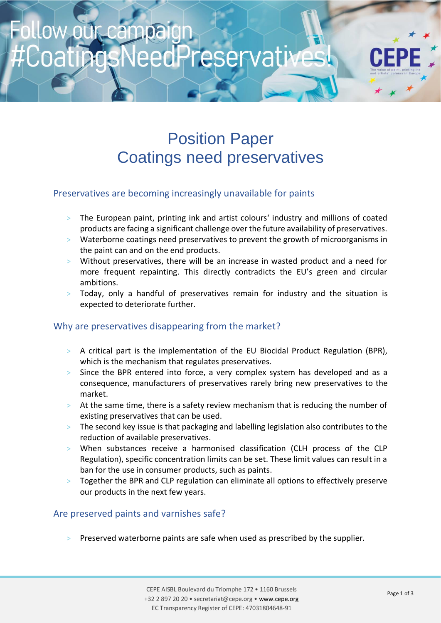# Preservative

# Position Paper Coatings need preservatives

### Preservatives are becoming increasingly unavailable for paints

- > The European paint, printing ink and artist colours' industry and millions of coated products are facing a significant challenge over the future availability of preservatives.
- > Waterborne coatings need preservatives to prevent the growth of microorganisms in the paint can and on the end products.
- > Without preservatives, there will be an increase in wasted product and a need for more frequent repainting. This directly contradicts the EU's green and circular ambitions.
- Today, only a handful of preservatives remain for industry and the situation is expected to deteriorate further.

#### Why are preservatives disappearing from the market?

- > A critical part is the implementation of the EU Biocidal Product Regulation (BPR), which is the mechanism that regulates preservatives.
- > Since the BPR entered into force, a very complex system has developed and as a consequence, manufacturers of preservatives rarely bring new preservatives to the market.
- > At the same time, there is a safety review mechanism that is reducing the number of existing preservatives that can be used.
- > The second key issue is that packaging and labelling legislation also contributes to the reduction of available preservatives.
- > When substances receive a harmonised classification (CLH process of the CLP Regulation), specific concentration limits can be set. These limit values can result in a ban for the use in consumer products, such as paints.
- Together the BPR and CLP regulation can eliminate all options to effectively preserve our products in the next few years.

## Are preserved paints and varnishes safe?

Preserved waterborne paints are safe when used as prescribed by the supplier.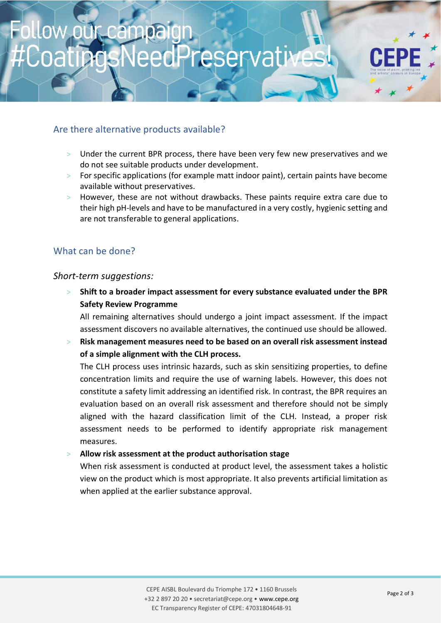# Are there alternative products available?

- > Under the current BPR process, there have been very few new preservatives and we do not see suitable products under development.
- $>$  For specific applications (for example matt indoor paint), certain paints have become available without preservatives.
- > However, these are not without drawbacks. These paints require extra care due to their high pH-levels and have to be manufactured in a very costly, hygienic setting and are not transferable to general applications.

### What can be done?

#### *Short-term suggestions:*

> **Shift to a broader impact assessment for every substance evaluated under the BPR Safety Review Programme**

All remaining alternatives should undergo a joint impact assessment. If the impact assessment discovers no available alternatives, the continued use should be allowed.

> **Risk management measures need to be based on an overall risk assessment instead of a simple alignment with the CLH process.**

The CLH process uses intrinsic hazards, such as skin sensitizing properties, to define concentration limits and require the use of warning labels. However, this does not constitute a safety limit addressing an identified risk. In contrast, the BPR requires an evaluation based on an overall risk assessment and therefore should not be simply aligned with the hazard classification limit of the CLH. Instead, a proper risk assessment needs to be performed to identify appropriate risk management measures.

#### > **Allow risk assessment at the product authorisation stage**

When risk assessment is conducted at product level, the assessment takes a holistic view on the product which is most appropriate. It also prevents artificial limitation as when applied at the earlier substance approval.